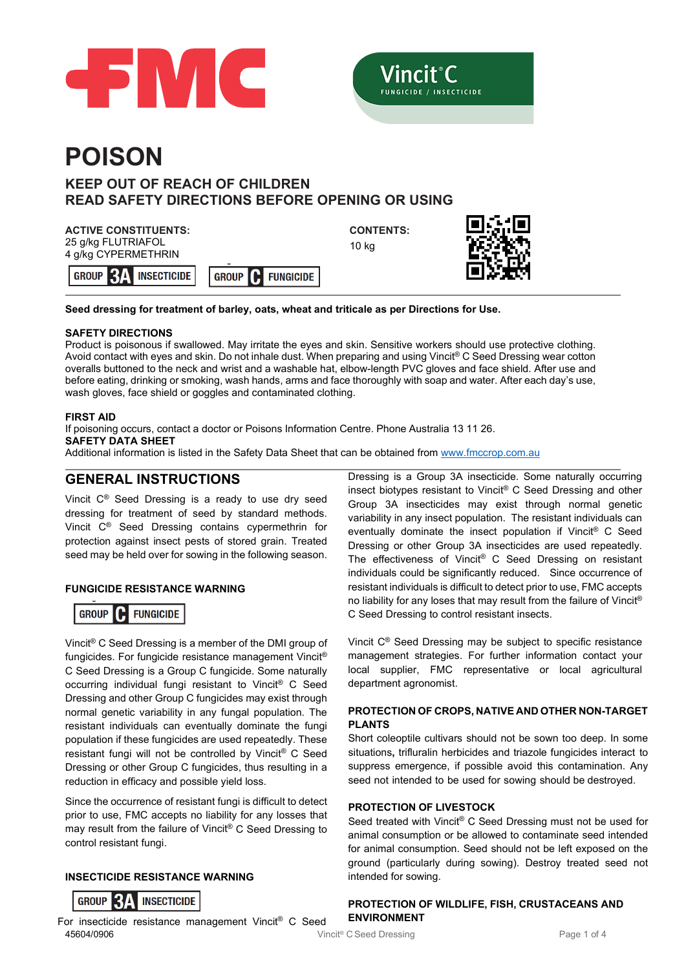

**INSECTICIDE** 



# **POISON**

# **KEEP OUT OF REACH OF CHILDREN READ SAFETY DIRECTIONS BEFORE OPENING OR USING**

# **ACTIVE CONSTITUENTS:**

25 g/kg FLUTRIAFOL 4 g/kg CYPERMETHRIN

**GROUP RI** 

**CONTENTS:** 10 kg



**Seed dressing for treatment of barley, oats, wheat and triticale as per Directions for Use.**

**GROUP** 

# **SAFETY DIRECTIONS**

Product is poisonous if swallowed. May irritate the eyes and skin. Sensitive workers should use protective clothing. Avoid contact with eyes and skin. Do not inhale dust. When preparing and using Vincit® C Seed Dressing wear cotton overalls buttoned to the neck and wrist and a washable hat, elbow-length PVC gloves and face shield. After use and before eating, drinking or smoking, wash hands, arms and face thoroughly with soap and water. After each day's use, wash gloves, face shield or goggles and contaminated clothing.

#### **FIRST AID**

If poisoning occurs, contact a doctor or Poisons Information Centre. Phone Australia 13 11 26. **SAFETY DATA SHEET**

**FUNGICIDE** 

Additional information is listed in the Safety Data Sheet that can be obtained from [www.fmccrop.com.au](http://www.fmccrop.com.au/)

# **GENERAL INSTRUCTIONS**

Vincit C® Seed Dressing is a ready to use dry seed dressing for treatment of seed by standard methods. Vincit C® Seed Dressing contains cypermethrin for protection against insect pests of stored grain. Treated seed may be held over for sowing in the following season.

#### **FUNGICIDE RESISTANCE WARNING**

#### **GROUP** IC **FUNGICIDE**

Vincit® C Seed Dressing is a member of the DMI group of fungicides. For fungicide resistance management Vincit® C Seed Dressing is a Group C fungicide. Some naturally occurring individual fungi resistant to Vincit® C Seed Dressing and other Group C fungicides may exist through normal genetic variability in any fungal population. The resistant individuals can eventually dominate the fungi population if these fungicides are used repeatedly. These resistant fungi will not be controlled by Vincit® C Seed Dressing or other Group C fungicides, thus resulting in a reduction in efficacy and possible yield loss.

Since the occurrence of resistant fungi is difficult to detect prior to use, FMC accepts no liability for any losses that may result from the failure of Vincit® C Seed Dressing to control resistant fungi.

### **INSECTICIDE RESISTANCE WARNING**



45604/0906 **Page 1 of 45604/0906** Vincit® C Seed Dressing Page 1 of 4 For insecticide resistance management Vincit® C Seed

Dressing is a Group 3A insecticide. Some naturally occurring insect biotypes resistant to Vincit® C Seed Dressing and other Group 3A insecticides may exist through normal genetic variability in any insect population. The resistant individuals can eventually dominate the insect population if Vincit® C Seed Dressing or other Group 3A insecticides are used repeatedly. The effectiveness of Vincit® C Seed Dressing on resistant individuals could be significantly reduced. Since occurrence of resistant individuals is difficult to detect prior to use, FMC accepts no liability for any loses that may result from the failure of Vincit® C Seed Dressing to control resistant insects.

Vincit C® Seed Dressing may be subject to specific resistance management strategies. For further information contact your local supplier, FMC representative or local agricultural department agronomist.

#### **PROTECTION OF CROPS, NATIVE AND OTHER NON-TARGET PLANTS**

Short coleoptile cultivars should not be sown too deep. In some situations**,** trifluralin herbicides and triazole fungicides interact to suppress emergence, if possible avoid this contamination. Any seed not intended to be used for sowing should be destroyed.

#### **PROTECTION OF LIVESTOCK**

Seed treated with Vincit® C Seed Dressing must not be used for animal consumption or be allowed to contaminate seed intended for animal consumption. Seed should not be left exposed on the ground (particularly during sowing). Destroy treated seed not intended for sowing.

**PROTECTION OF WILDLIFE, FISH, CRUSTACEANS AND ENVIRONMENT**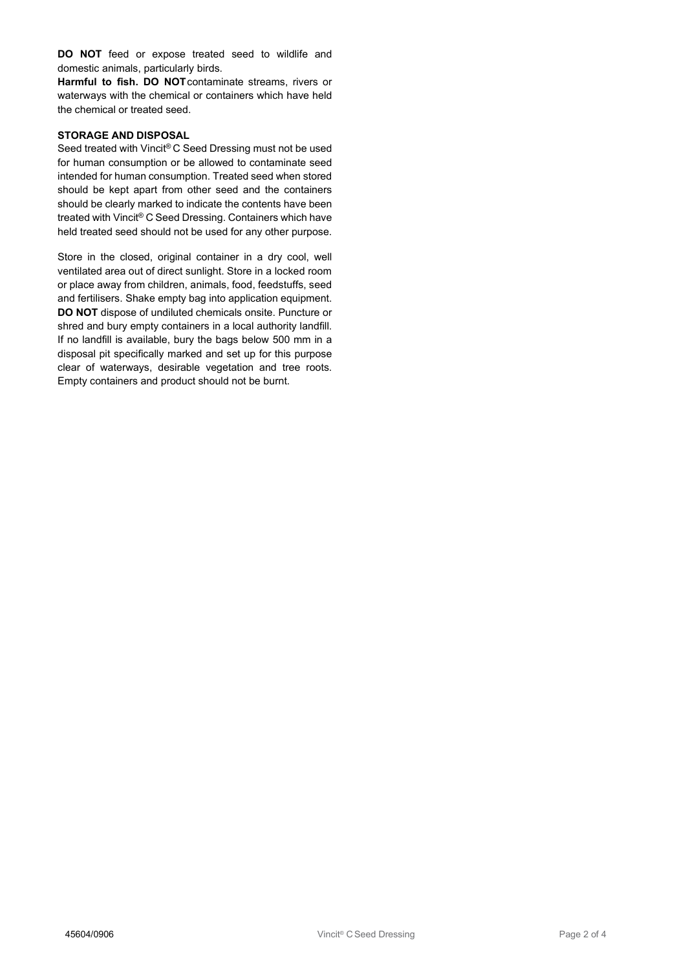**DO NOT** feed or expose treated seed to wildlife and domestic animals, particularly birds.

**Harmful to fish. DO NOT**contaminate streams, rivers or waterways with the chemical or containers which have held the chemical or treated seed.

#### **STORAGE AND DISPOSAL**

Seed treated with Vincit® C Seed Dressing must not be used for human consumption or be allowed to contaminate seed intended for human consumption. Treated seed when stored should be kept apart from other seed and the containers should be clearly marked to indicate the contents have been treated with Vincit® C Seed Dressing. Containers which have held treated seed should not be used for any other purpose.

Store in the closed, original container in a dry cool, well ventilated area out of direct sunlight. Store in a locked room or place away from children, animals, food, feedstuffs, seed and fertilisers. Shake empty bag into application equipment. **DO NOT** dispose of undiluted chemicals onsite. Puncture or shred and bury empty containers in a local authority landfill. If no landfill is available, bury the bags below 500 mm in a disposal pit specifically marked and set up for this purpose clear of waterways, desirable vegetation and tree roots. Empty containers and product should not be burnt.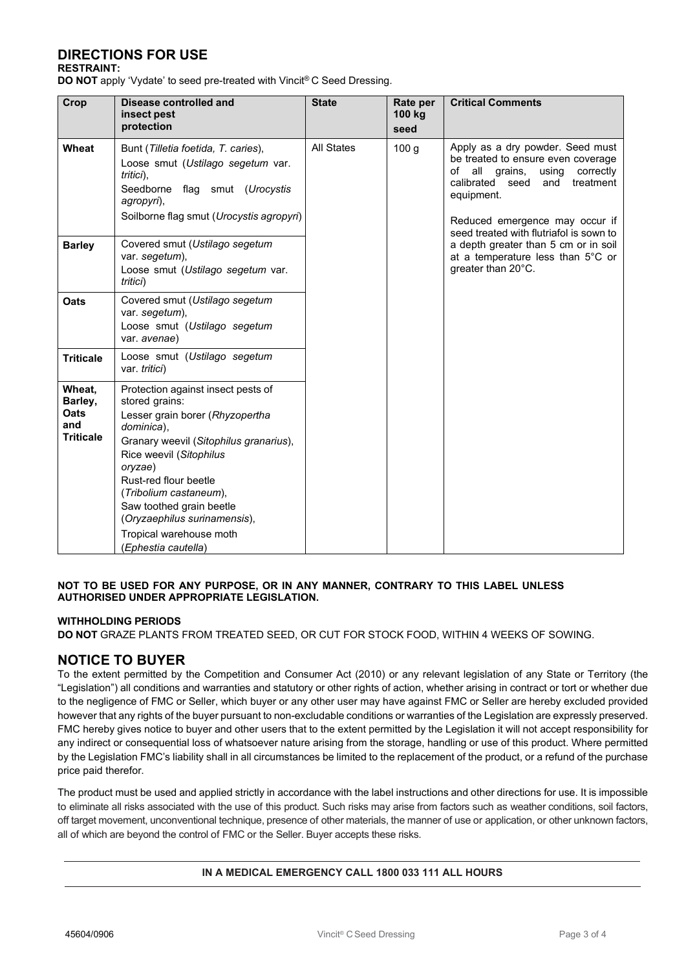# **DIRECTIONS FOR USE**

#### **RESTRAINT:**

**DO NOT** apply 'Vydate' to seed pre-treated with Vincit® C Seed Dressing.

| Crop                                                        | <b>Disease controlled and</b><br>insect pest<br>protection                                                                                                                                                                                                                                                                                             | <b>State</b>      | Rate per<br>100 kg<br>seed | <b>Critical Comments</b>                                                                                                                                                                                                                            |
|-------------------------------------------------------------|--------------------------------------------------------------------------------------------------------------------------------------------------------------------------------------------------------------------------------------------------------------------------------------------------------------------------------------------------------|-------------------|----------------------------|-----------------------------------------------------------------------------------------------------------------------------------------------------------------------------------------------------------------------------------------------------|
| Wheat                                                       | Bunt (Tilletia foetida, T. caries),<br>Loose smut (Ustilago segetum var.<br>tritici),<br>Seedborne flag smut (Urocystis<br>agropyri),<br>Soilborne flag smut (Urocystis agropyri)                                                                                                                                                                      | <b>All States</b> | 100 <sub>g</sub>           | Apply as a dry powder. Seed must<br>be treated to ensure even coverage<br>all grains,<br>of<br>using<br>correctly<br>calibrated seed<br>and<br>treatment<br>equipment.<br>Reduced emergence may occur if<br>seed treated with flutriafol is sown to |
| <b>Barley</b>                                               | Covered smut (Ustilago segetum<br>var. segetum),<br>Loose smut (Ustilago segetum var.<br>tritici)                                                                                                                                                                                                                                                      |                   |                            | a depth greater than 5 cm or in soil<br>at a temperature less than 5°C or<br>greater than 20°C.                                                                                                                                                     |
| Oats                                                        | Covered smut (Ustilago segetum<br>var. segetum),<br>Loose smut (Ustilago segetum<br>var. avenae)                                                                                                                                                                                                                                                       |                   |                            |                                                                                                                                                                                                                                                     |
| <b>Triticale</b>                                            | Loose smut (Ustilago segetum<br>var. tritici)                                                                                                                                                                                                                                                                                                          |                   |                            |                                                                                                                                                                                                                                                     |
| Wheat,<br>Barley,<br><b>Oats</b><br>and<br><b>Triticale</b> | Protection against insect pests of<br>stored grains:<br>Lesser grain borer (Rhyzopertha<br>dominica).<br>Granary weevil (Sitophilus granarius),<br>Rice weevil (Sitophilus<br>oryzae)<br>Rust-red flour beetle<br>(Tribolium castaneum),<br>Saw toothed grain beetle<br>(Oryzaephilus surinamensis),<br>Tropical warehouse moth<br>(Ephestia cautella) |                   |                            |                                                                                                                                                                                                                                                     |

#### **NOT TO BE USED FOR ANY PURPOSE, OR IN ANY MANNER, CONTRARY TO THIS LABEL UNLESS AUTHORISED UNDER APPROPRIATE LEGISLATION.**

#### **WITHHOLDING PERIODS**

**DO NOT** GRAZE PLANTS FROM TREATED SEED, OR CUT FOR STOCK FOOD, WITHIN 4 WEEKS OF SOWING.

## **NOTICE TO BUYER**

To the extent permitted by the Competition and Consumer Act (2010) or any relevant legislation of any State or Territory (the "Legislation") all conditions and warranties and statutory or other rights of action, whether arising in contract or tort or whether due to the negligence of FMC or Seller, which buyer or any other user may have against FMC or Seller are hereby excluded provided however that any rights of the buyer pursuant to non-excludable conditions or warranties of the Legislation are expressly preserved. FMC hereby gives notice to buyer and other users that to the extent permitted by the Legislation it will not accept responsibility for any indirect or consequential loss of whatsoever nature arising from the storage, handling or use of this product. Where permitted by the Legislation FMC's liability shall in all circumstances be limited to the replacement of the product, or a refund of the purchase price paid therefor.

The product must be used and applied strictly in accordance with the label instructions and other directions for use. It is impossible to eliminate all risks associated with the use of this product. Such risks may arise from factors such as weather conditions, soil factors, off target movement, unconventional technique, presence of other materials, the manner of use or application, or other unknown factors, all of which are beyond the control of FMC or the Seller. Buyer accepts these risks.

#### **IN A MEDICAL EMERGENCY CALL 1800 033 111 ALL HOURS**